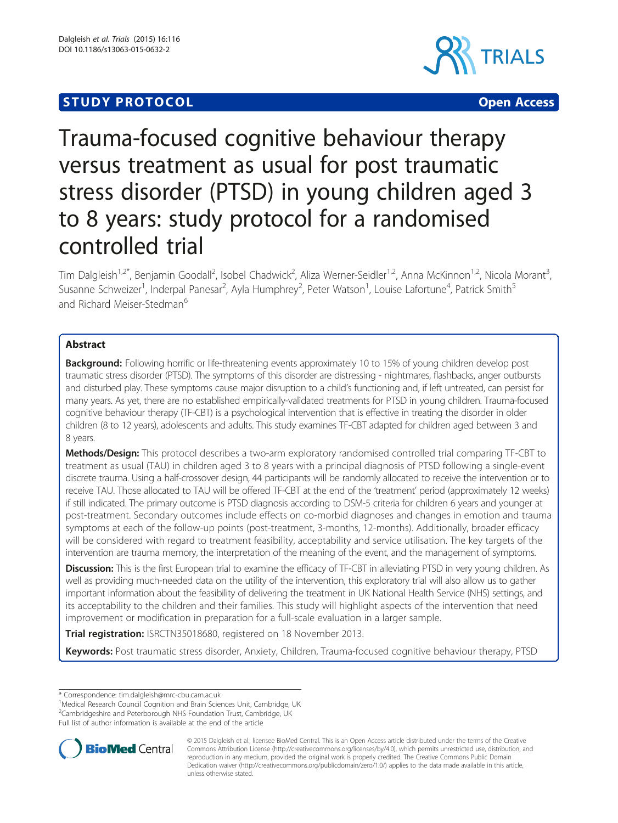## **STUDY PROTOCOL CONSUMING THE CONSUMING OPEN ACCESS**



# Trauma-focused cognitive behaviour therapy versus treatment as usual for post traumatic stress disorder (PTSD) in young children aged 3 to 8 years: study protocol for a randomised controlled trial

Tim Dalgleish<sup>1,2\*</sup>, Benjamin Goodall<sup>2</sup>, Isobel Chadwick<sup>2</sup>, Aliza Werner-Seidler<sup>1,2</sup>, Anna McKinnon<sup>1,2</sup>, Nicola Morant<sup>3</sup> .<br>. Susanne Schweizer<sup>1</sup>, Inderpal Panesar<sup>2</sup>, Ayla Humphrey<sup>2</sup>, Peter Watson<sup>1</sup>, Louise Lafortune<sup>4</sup>, Patrick Smith<sup>5</sup> and Richard Meiser-Stedman<sup>6</sup>

### Abstract

Background: Following horrific or life-threatening events approximately 10 to 15% of young children develop post traumatic stress disorder (PTSD). The symptoms of this disorder are distressing - nightmares, flashbacks, anger outbursts and disturbed play. These symptoms cause major disruption to a child's functioning and, if left untreated, can persist for many years. As yet, there are no established empirically-validated treatments for PTSD in young children. Trauma-focused cognitive behaviour therapy (TF-CBT) is a psychological intervention that is effective in treating the disorder in older children (8 to 12 years), adolescents and adults. This study examines TF-CBT adapted for children aged between 3 and 8 years.

Methods/Design: This protocol describes a two-arm exploratory randomised controlled trial comparing TF-CBT to treatment as usual (TAU) in children aged 3 to 8 years with a principal diagnosis of PTSD following a single-event discrete trauma. Using a half-crossover design, 44 participants will be randomly allocated to receive the intervention or to receive TAU. Those allocated to TAU will be offered TF-CBT at the end of the 'treatment' period (approximately 12 weeks) if still indicated. The primary outcome is PTSD diagnosis according to DSM-5 criteria for children 6 years and younger at post-treatment. Secondary outcomes include effects on co-morbid diagnoses and changes in emotion and trauma symptoms at each of the follow-up points (post-treatment, 3-months, 12-months). Additionally, broader efficacy will be considered with regard to treatment feasibility, acceptability and service utilisation. The key targets of the intervention are trauma memory, the interpretation of the meaning of the event, and the management of symptoms.

Discussion: This is the first European trial to examine the efficacy of TF-CBT in alleviating PTSD in very young children. As well as providing much-needed data on the utility of the intervention, this exploratory trial will also allow us to gather important information about the feasibility of delivering the treatment in UK National Health Service (NHS) settings, and its acceptability to the children and their families. This study will highlight aspects of the intervention that need improvement or modification in preparation for a full-scale evaluation in a larger sample.

Trial registration: [ISRCTN35018680,](http://www.isrctn.com/ISRCTN35018680) registered on 18 November 2013.

Keywords: Post traumatic stress disorder, Anxiety, Children, Trauma-focused cognitive behaviour therapy, PTSD

\* Correspondence: [tim.dalgleish@mrc-cbu.cam.ac.uk](mailto:tim.dalgleish@mrc-cbu.cam.ac.uk) <sup>1</sup>

<sup>1</sup>Medical Research Council Cognition and Brain Sciences Unit, Cambridge, UK

Full list of author information is available at the end of the article



© 2015 Dalgleish et al.; licensee BioMed Central. This is an Open Access article distributed under the terms of the Creative Commons Attribution License [\(http://creativecommons.org/licenses/by/4.0\)](http://creativecommons.org/licenses/by/4.0), which permits unrestricted use, distribution, and reproduction in any medium, provided the original work is properly credited. The Creative Commons Public Domain Dedication waiver [\(http://creativecommons.org/publicdomain/zero/1.0/](http://creativecommons.org/publicdomain/zero/1.0/)) applies to the data made available in this article, unless otherwise stated.

<sup>&</sup>lt;sup>2</sup>Cambridgeshire and Peterborough NHS Foundation Trust, Cambridge, UK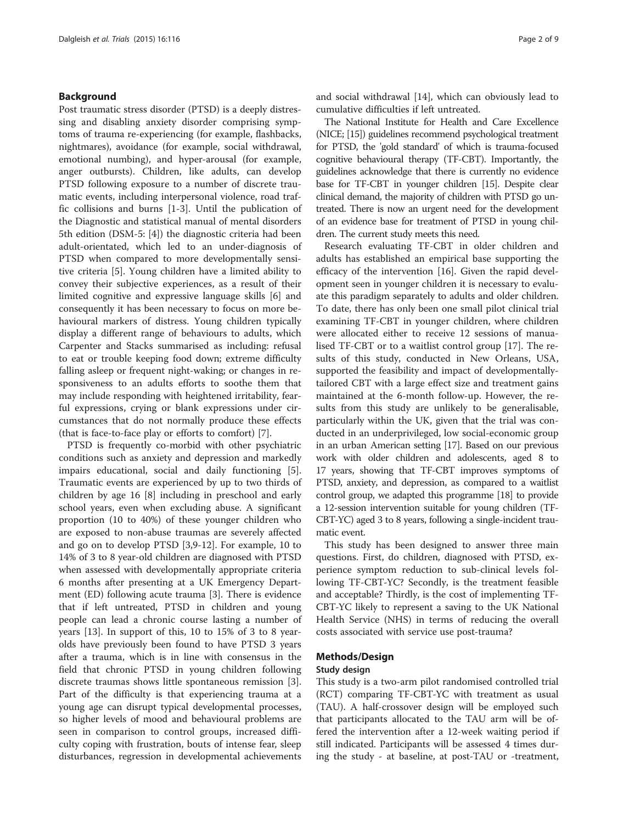#### Background

Post traumatic stress disorder (PTSD) is a deeply distressing and disabling anxiety disorder comprising symptoms of trauma re-experiencing (for example, flashbacks, nightmares), avoidance (for example, social withdrawal, emotional numbing), and hyper-arousal (for example, anger outbursts). Children, like adults, can develop PTSD following exposure to a number of discrete traumatic events, including interpersonal violence, road traffic collisions and burns [\[1-3](#page-8-0)]. Until the publication of the Diagnostic and statistical manual of mental disorders 5th edition (DSM-5: [\[4](#page-8-0)]) the diagnostic criteria had been adult-orientated, which led to an under-diagnosis of PTSD when compared to more developmentally sensitive criteria [[5](#page-8-0)]. Young children have a limited ability to convey their subjective experiences, as a result of their limited cognitive and expressive language skills [\[6](#page-8-0)] and consequently it has been necessary to focus on more behavioural markers of distress. Young children typically display a different range of behaviours to adults, which Carpenter and Stacks summarised as including: refusal to eat or trouble keeping food down; extreme difficulty falling asleep or frequent night-waking; or changes in responsiveness to an adults efforts to soothe them that may include responding with heightened irritability, fearful expressions, crying or blank expressions under circumstances that do not normally produce these effects (that is face-to-face play or efforts to comfort) [[7\]](#page-8-0).

PTSD is frequently co-morbid with other psychiatric conditions such as anxiety and depression and markedly impairs educational, social and daily functioning [\[5](#page-8-0)]. Traumatic events are experienced by up to two thirds of children by age 16 [\[8](#page-8-0)] including in preschool and early school years, even when excluding abuse. A significant proportion (10 to 40%) of these younger children who are exposed to non-abuse traumas are severely affected and go on to develop PTSD [[3,9-12](#page-8-0)]. For example, 10 to 14% of 3 to 8 year-old children are diagnosed with PTSD when assessed with developmentally appropriate criteria 6 months after presenting at a UK Emergency Department (ED) following acute trauma [[3\]](#page-8-0). There is evidence that if left untreated, PTSD in children and young people can lead a chronic course lasting a number of years [\[13](#page-8-0)]. In support of this, 10 to 15% of 3 to 8 yearolds have previously been found to have PTSD 3 years after a trauma, which is in line with consensus in the field that chronic PTSD in young children following discrete traumas shows little spontaneous remission [\[3](#page-8-0)]. Part of the difficulty is that experiencing trauma at a young age can disrupt typical developmental processes, so higher levels of mood and behavioural problems are seen in comparison to control groups, increased difficulty coping with frustration, bouts of intense fear, sleep disturbances, regression in developmental achievements and social withdrawal [\[14](#page-8-0)], which can obviously lead to cumulative difficulties if left untreated.

The National Institute for Health and Care Excellence (NICE; [\[15\]](#page-8-0)) guidelines recommend psychological treatment for PTSD, the 'gold standard' of which is trauma-focused cognitive behavioural therapy (TF-CBT). Importantly, the guidelines acknowledge that there is currently no evidence base for TF-CBT in younger children [\[15\]](#page-8-0). Despite clear clinical demand, the majority of children with PTSD go untreated. There is now an urgent need for the development of an evidence base for treatment of PTSD in young children. The current study meets this need.

Research evaluating TF-CBT in older children and adults has established an empirical base supporting the efficacy of the intervention [[16\]](#page-8-0). Given the rapid development seen in younger children it is necessary to evaluate this paradigm separately to adults and older children. To date, there has only been one small pilot clinical trial examining TF-CBT in younger children, where children were allocated either to receive 12 sessions of manualised TF-CBT or to a waitlist control group [\[17](#page-8-0)]. The results of this study, conducted in New Orleans, USA, supported the feasibility and impact of developmentallytailored CBT with a large effect size and treatment gains maintained at the 6-month follow-up. However, the results from this study are unlikely to be generalisable, particularly within the UK, given that the trial was conducted in an underprivileged, low social-economic group in an urban American setting [\[17\]](#page-8-0). Based on our previous work with older children and adolescents, aged 8 to 17 years, showing that TF-CBT improves symptoms of PTSD, anxiety, and depression, as compared to a waitlist control group, we adapted this programme [\[18\]](#page-8-0) to provide a 12-session intervention suitable for young children (TF-CBT-YC) aged 3 to 8 years, following a single-incident traumatic event.

This study has been designed to answer three main questions. First, do children, diagnosed with PTSD, experience symptom reduction to sub-clinical levels following TF-CBT-YC? Secondly, is the treatment feasible and acceptable? Thirdly, is the cost of implementing TF-CBT-YC likely to represent a saving to the UK National Health Service (NHS) in terms of reducing the overall costs associated with service use post-trauma?

#### Methods/Design

#### Study design

This study is a two-arm pilot randomised controlled trial (RCT) comparing TF-CBT-YC with treatment as usual (TAU). A half-crossover design will be employed such that participants allocated to the TAU arm will be offered the intervention after a 12-week waiting period if still indicated. Participants will be assessed 4 times during the study - at baseline, at post-TAU or -treatment,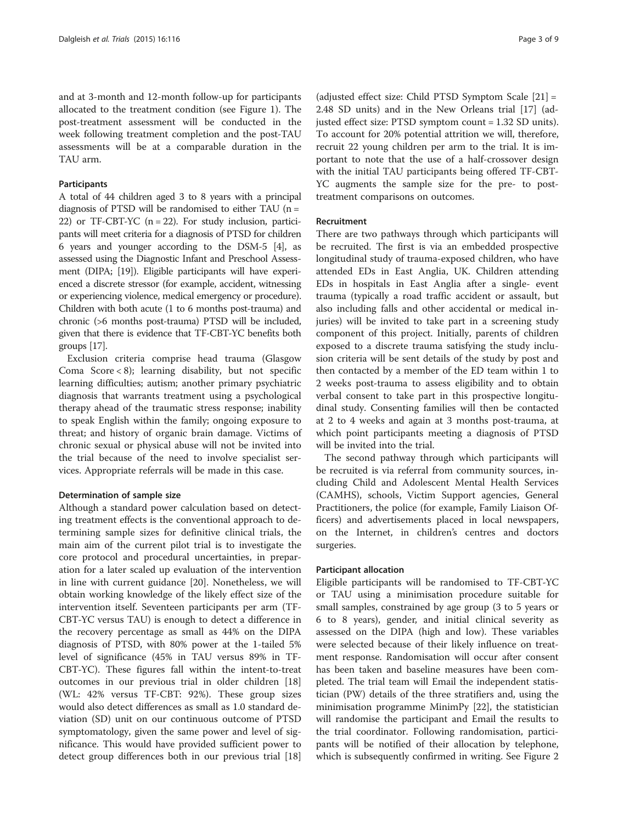and at 3-month and 12-month follow-up for participants allocated to the treatment condition (see Figure [1](#page-3-0)). The post-treatment assessment will be conducted in the week following treatment completion and the post-TAU assessments will be at a comparable duration in the TAU arm.

#### **Participants**

A total of 44 children aged 3 to 8 years with a principal diagnosis of PTSD will be randomised to either TAU ( $n =$ 22) or TF-CBT-YC ( $n = 22$ ). For study inclusion, participants will meet criteria for a diagnosis of PTSD for children 6 years and younger according to the DSM-5 [[4](#page-8-0)], as assessed using the Diagnostic Infant and Preschool Assessment (DIPA; [\[19\]](#page-8-0)). Eligible participants will have experienced a discrete stressor (for example, accident, witnessing or experiencing violence, medical emergency or procedure). Children with both acute (1 to 6 months post-trauma) and chronic (>6 months post-trauma) PTSD will be included, given that there is evidence that TF-CBT-YC benefits both groups [\[17\]](#page-8-0).

Exclusion criteria comprise head trauma (Glasgow Coma  $Score < 8$ ); learning disability, but not specific learning difficulties; autism; another primary psychiatric diagnosis that warrants treatment using a psychological therapy ahead of the traumatic stress response; inability to speak English within the family; ongoing exposure to threat; and history of organic brain damage. Victims of chronic sexual or physical abuse will not be invited into the trial because of the need to involve specialist services. Appropriate referrals will be made in this case.

#### Determination of sample size

Although a standard power calculation based on detecting treatment effects is the conventional approach to determining sample sizes for definitive clinical trials, the main aim of the current pilot trial is to investigate the core protocol and procedural uncertainties, in preparation for a later scaled up evaluation of the intervention in line with current guidance [\[20\]](#page-8-0). Nonetheless, we will obtain working knowledge of the likely effect size of the intervention itself. Seventeen participants per arm (TF-CBT-YC versus TAU) is enough to detect a difference in the recovery percentage as small as 44% on the DIPA diagnosis of PTSD, with 80% power at the 1-tailed 5% level of significance (45% in TAU versus 89% in TF-CBT-YC). These figures fall within the intent-to-treat outcomes in our previous trial in older children [[18](#page-8-0)] (WL: 42% versus TF-CBT: 92%). These group sizes would also detect differences as small as 1.0 standard deviation (SD) unit on our continuous outcome of PTSD symptomatology, given the same power and level of significance. This would have provided sufficient power to detect group differences both in our previous trial [[18](#page-8-0)]

(adjusted effect size: Child PTSD Symptom Scale [[21\]](#page-8-0) = 2.48 SD units) and in the New Orleans trial [[17](#page-8-0)] (adjusted effect size: PTSD symptom count = 1.32 SD units). To account for 20% potential attrition we will, therefore, recruit 22 young children per arm to the trial. It is important to note that the use of a half-crossover design with the initial TAU participants being offered TF-CBT-YC augments the sample size for the pre- to posttreatment comparisons on outcomes.

#### Recruitment

There are two pathways through which participants will be recruited. The first is via an embedded prospective longitudinal study of trauma-exposed children, who have attended EDs in East Anglia, UK. Children attending EDs in hospitals in East Anglia after a single- event trauma (typically a road traffic accident or assault, but also including falls and other accidental or medical injuries) will be invited to take part in a screening study component of this project. Initially, parents of children exposed to a discrete trauma satisfying the study inclusion criteria will be sent details of the study by post and then contacted by a member of the ED team within 1 to 2 weeks post-trauma to assess eligibility and to obtain verbal consent to take part in this prospective longitudinal study. Consenting families will then be contacted at 2 to 4 weeks and again at 3 months post-trauma, at which point participants meeting a diagnosis of PTSD will be invited into the trial.

The second pathway through which participants will be recruited is via referral from community sources, including Child and Adolescent Mental Health Services (CAMHS), schools, Victim Support agencies, General Practitioners, the police (for example, Family Liaison Officers) and advertisements placed in local newspapers, on the Internet, in children's centres and doctors surgeries.

#### Participant allocation

Eligible participants will be randomised to TF-CBT-YC or TAU using a minimisation procedure suitable for small samples, constrained by age group (3 to 5 years or 6 to 8 years), gender, and initial clinical severity as assessed on the DIPA (high and low). These variables were selected because of their likely influence on treatment response. Randomisation will occur after consent has been taken and baseline measures have been completed. The trial team will Email the independent statistician (PW) details of the three stratifiers and, using the minimisation programme MinimPy [\[22\]](#page-8-0), the statistician will randomise the participant and Email the results to the trial coordinator. Following randomisation, participants will be notified of their allocation by telephone, which is subsequently confirmed in writing. See Figure [2](#page-4-0)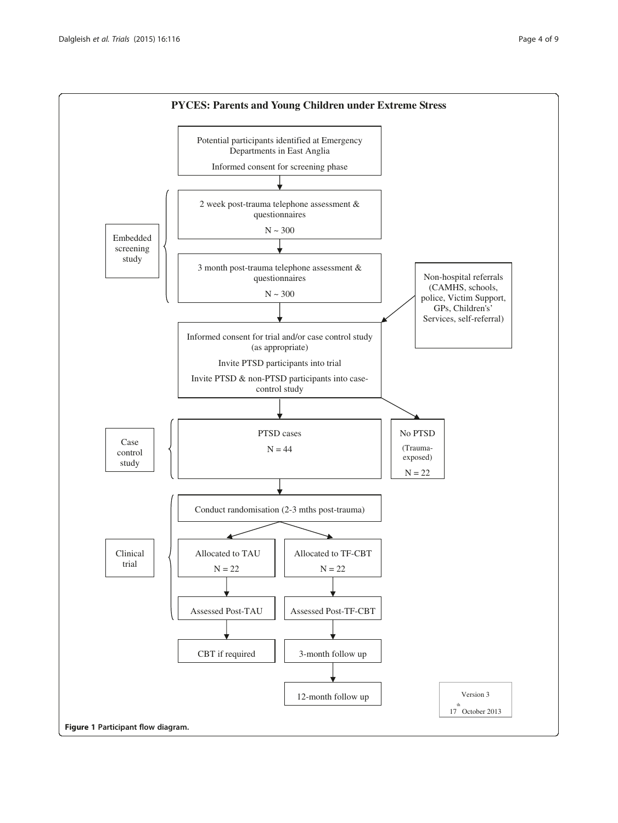<span id="page-3-0"></span>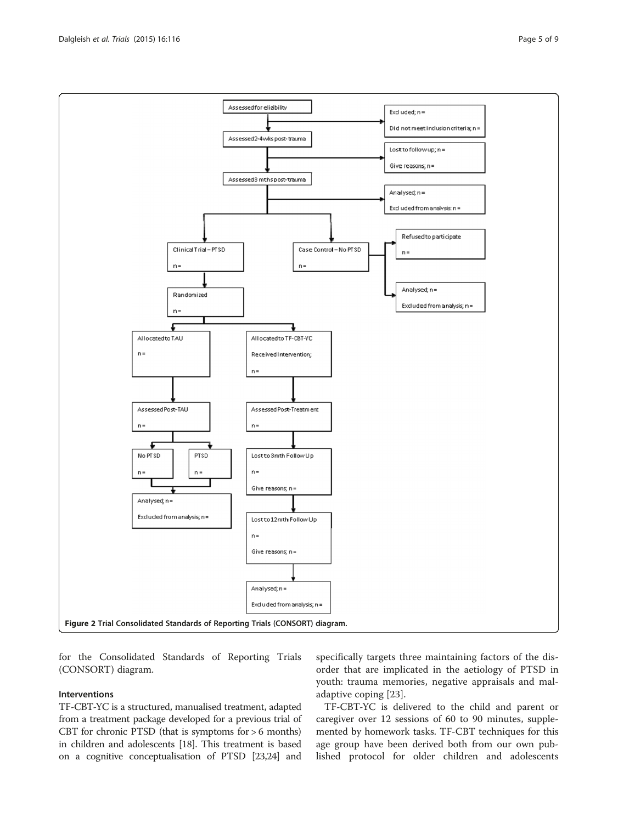for the Consolidated Standards of Reporting Trials (CONSORT) diagram.

#### Interventions

TF-CBT-YC is a structured, manualised treatment, adapted from a treatment package developed for a previous trial of CBT for chronic PTSD (that is symptoms for  $> 6$  months) in children and adolescents [\[18\]](#page-8-0). This treatment is based on a cognitive conceptualisation of PTSD [[23,24\]](#page-8-0) and

specifically targets three maintaining factors of the disorder that are implicated in the aetiology of PTSD in youth: trauma memories, negative appraisals and maladaptive coping [[23\]](#page-8-0).

TF-CBT-YC is delivered to the child and parent or caregiver over 12 sessions of 60 to 90 minutes, supplemented by homework tasks. TF-CBT techniques for this age group have been derived both from our own published protocol for older children and adolescents

<span id="page-4-0"></span>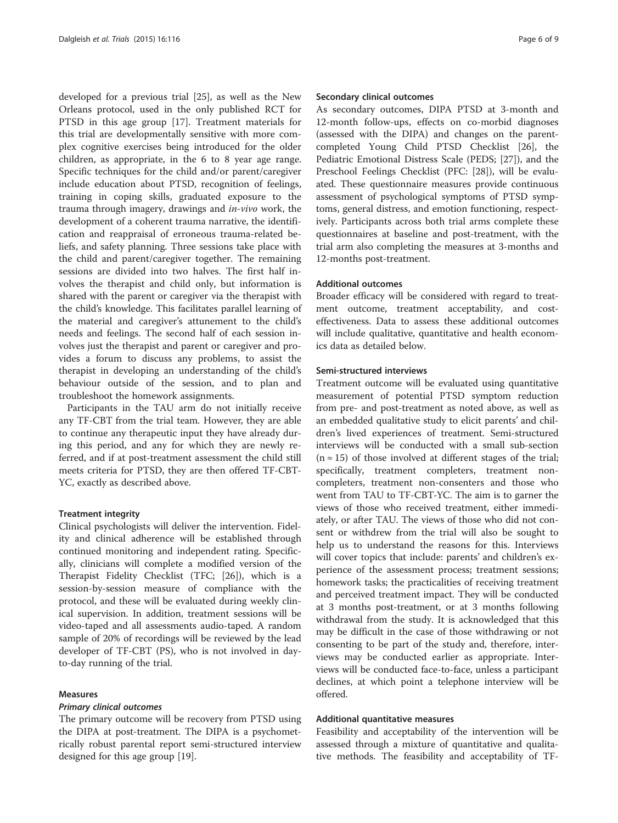developed for a previous trial [\[25](#page-8-0)], as well as the New Orleans protocol, used in the only published RCT for PTSD in this age group [[17\]](#page-8-0). Treatment materials for this trial are developmentally sensitive with more complex cognitive exercises being introduced for the older children, as appropriate, in the 6 to 8 year age range. Specific techniques for the child and/or parent/caregiver include education about PTSD, recognition of feelings, training in coping skills, graduated exposure to the trauma through imagery, drawings and in-vivo work, the development of a coherent trauma narrative, the identification and reappraisal of erroneous trauma-related beliefs, and safety planning. Three sessions take place with the child and parent/caregiver together. The remaining sessions are divided into two halves. The first half involves the therapist and child only, but information is shared with the parent or caregiver via the therapist with the child's knowledge. This facilitates parallel learning of the material and caregiver's attunement to the child's needs and feelings. The second half of each session involves just the therapist and parent or caregiver and provides a forum to discuss any problems, to assist the therapist in developing an understanding of the child's behaviour outside of the session, and to plan and troubleshoot the homework assignments.

Participants in the TAU arm do not initially receive any TF-CBT from the trial team. However, they are able to continue any therapeutic input they have already during this period, and any for which they are newly referred, and if at post-treatment assessment the child still meets criteria for PTSD, they are then offered TF-CBT-YC, exactly as described above.

#### Treatment integrity

Clinical psychologists will deliver the intervention. Fidelity and clinical adherence will be established through continued monitoring and independent rating. Specifically, clinicians will complete a modified version of the Therapist Fidelity Checklist (TFC; [\[26\]](#page-8-0)), which is a session-by-session measure of compliance with the protocol, and these will be evaluated during weekly clinical supervision. In addition, treatment sessions will be video-taped and all assessments audio-taped. A random sample of 20% of recordings will be reviewed by the lead developer of TF-CBT (PS), who is not involved in dayto-day running of the trial.

#### Measures

#### Primary clinical outcomes

The primary outcome will be recovery from PTSD using the DIPA at post-treatment. The DIPA is a psychometrically robust parental report semi-structured interview designed for this age group [\[19](#page-8-0)].

#### Secondary clinical outcomes

As secondary outcomes, DIPA PTSD at 3-month and 12-month follow-ups, effects on co-morbid diagnoses (assessed with the DIPA) and changes on the parentcompleted Young Child PTSD Checklist [\[26](#page-8-0)], the Pediatric Emotional Distress Scale (PEDS; [\[27](#page-8-0)]), and the Preschool Feelings Checklist (PFC: [\[28](#page-8-0)]), will be evaluated. These questionnaire measures provide continuous assessment of psychological symptoms of PTSD symptoms, general distress, and emotion functioning, respectively. Participants across both trial arms complete these questionnaires at baseline and post-treatment, with the trial arm also completing the measures at 3-months and 12-months post-treatment.

#### Additional outcomes

Broader efficacy will be considered with regard to treatment outcome, treatment acceptability, and costeffectiveness. Data to assess these additional outcomes will include qualitative, quantitative and health economics data as detailed below.

#### Semi-structured interviews

Treatment outcome will be evaluated using quantitative measurement of potential PTSD symptom reduction from pre- and post-treatment as noted above, as well as an embedded qualitative study to elicit parents' and children's lived experiences of treatment. Semi-structured interviews will be conducted with a small sub-section  $(n \approx 15)$  of those involved at different stages of the trial; specifically, treatment completers, treatment noncompleters, treatment non-consenters and those who went from TAU to TF-CBT-YC. The aim is to garner the views of those who received treatment, either immediately, or after TAU. The views of those who did not consent or withdrew from the trial will also be sought to help us to understand the reasons for this. Interviews will cover topics that include: parents' and children's experience of the assessment process; treatment sessions; homework tasks; the practicalities of receiving treatment and perceived treatment impact. They will be conducted at 3 months post-treatment, or at 3 months following withdrawal from the study. It is acknowledged that this may be difficult in the case of those withdrawing or not consenting to be part of the study and, therefore, interviews may be conducted earlier as appropriate. Interviews will be conducted face-to-face, unless a participant declines, at which point a telephone interview will be offered.

#### Additional quantitative measures

Feasibility and acceptability of the intervention will be assessed through a mixture of quantitative and qualitative methods. The feasibility and acceptability of TF-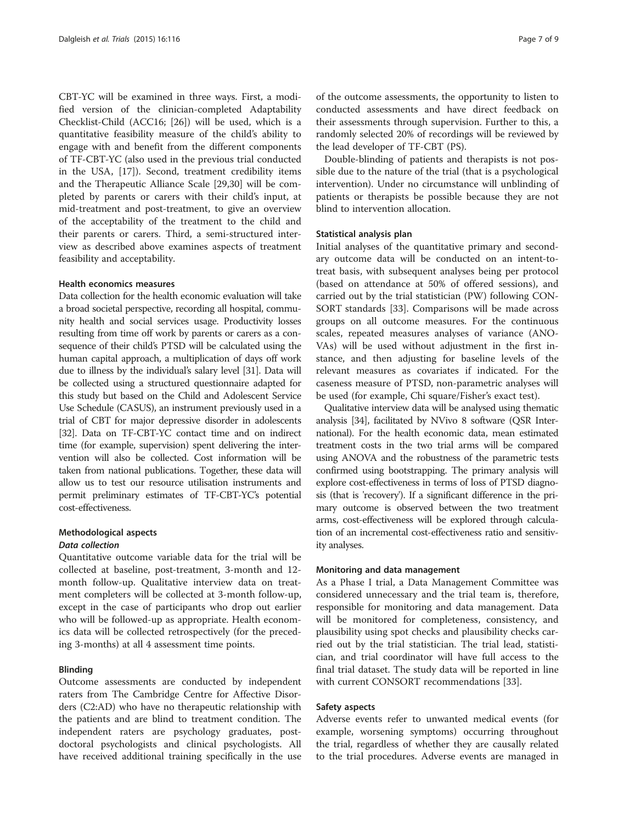CBT-YC will be examined in three ways. First, a modified version of the clinician-completed Adaptability Checklist-Child (ACC16; [[26](#page-8-0)]) will be used, which is a quantitative feasibility measure of the child's ability to engage with and benefit from the different components of TF-CBT-YC (also used in the previous trial conducted in the USA, [[17](#page-8-0)]). Second, treatment credibility items and the Therapeutic Alliance Scale [\[29,30\]](#page-8-0) will be completed by parents or carers with their child's input, at mid-treatment and post-treatment, to give an overview of the acceptability of the treatment to the child and their parents or carers. Third, a semi-structured interview as described above examines aspects of treatment feasibility and acceptability.

#### Health economics measures

Data collection for the health economic evaluation will take a broad societal perspective, recording all hospital, community health and social services usage. Productivity losses resulting from time off work by parents or carers as a consequence of their child's PTSD will be calculated using the human capital approach, a multiplication of days off work due to illness by the individual's salary level [\[31\]](#page-8-0). Data will be collected using a structured questionnaire adapted for this study but based on the Child and Adolescent Service Use Schedule (CASUS), an instrument previously used in a trial of CBT for major depressive disorder in adolescents [[32](#page-8-0)]. Data on TF-CBT-YC contact time and on indirect time (for example, supervision) spent delivering the intervention will also be collected. Cost information will be taken from national publications. Together, these data will allow us to test our resource utilisation instruments and permit preliminary estimates of TF-CBT-YC's potential cost-effectiveness.

#### Methodological aspects

#### Data collection

Quantitative outcome variable data for the trial will be collected at baseline, post-treatment, 3-month and 12 month follow-up. Qualitative interview data on treatment completers will be collected at 3-month follow-up, except in the case of participants who drop out earlier who will be followed-up as appropriate. Health economics data will be collected retrospectively (for the preceding 3-months) at all 4 assessment time points.

#### Blinding

Outcome assessments are conducted by independent raters from The Cambridge Centre for Affective Disorders (C2:AD) who have no therapeutic relationship with the patients and are blind to treatment condition. The independent raters are psychology graduates, postdoctoral psychologists and clinical psychologists. All have received additional training specifically in the use of the outcome assessments, the opportunity to listen to conducted assessments and have direct feedback on their assessments through supervision. Further to this, a randomly selected 20% of recordings will be reviewed by the lead developer of TF-CBT (PS).

Double-blinding of patients and therapists is not possible due to the nature of the trial (that is a psychological intervention). Under no circumstance will unblinding of patients or therapists be possible because they are not blind to intervention allocation.

#### Statistical analysis plan

Initial analyses of the quantitative primary and secondary outcome data will be conducted on an intent-totreat basis, with subsequent analyses being per protocol (based on attendance at 50% of offered sessions), and carried out by the trial statistician (PW) following CON-SORT standards [[33\]](#page-8-0). Comparisons will be made across groups on all outcome measures. For the continuous scales, repeated measures analyses of variance (ANO-VAs) will be used without adjustment in the first instance, and then adjusting for baseline levels of the relevant measures as covariates if indicated. For the caseness measure of PTSD, non-parametric analyses will be used (for example, Chi square/Fisher's exact test).

Qualitative interview data will be analysed using thematic analysis [[34](#page-8-0)], facilitated by NVivo 8 software (QSR International). For the health economic data, mean estimated treatment costs in the two trial arms will be compared using ANOVA and the robustness of the parametric tests confirmed using bootstrapping. The primary analysis will explore cost-effectiveness in terms of loss of PTSD diagnosis (that is 'recovery'). If a significant difference in the primary outcome is observed between the two treatment arms, cost-effectiveness will be explored through calculation of an incremental cost-effectiveness ratio and sensitivity analyses.

#### Monitoring and data management

As a Phase I trial, a Data Management Committee was considered unnecessary and the trial team is, therefore, responsible for monitoring and data management. Data will be monitored for completeness, consistency, and plausibility using spot checks and plausibility checks carried out by the trial statistician. The trial lead, statistician, and trial coordinator will have full access to the final trial dataset. The study data will be reported in line with current CONSORT recommendations [\[33\]](#page-8-0).

#### Safety aspects

Adverse events refer to unwanted medical events (for example, worsening symptoms) occurring throughout the trial, regardless of whether they are causally related to the trial procedures. Adverse events are managed in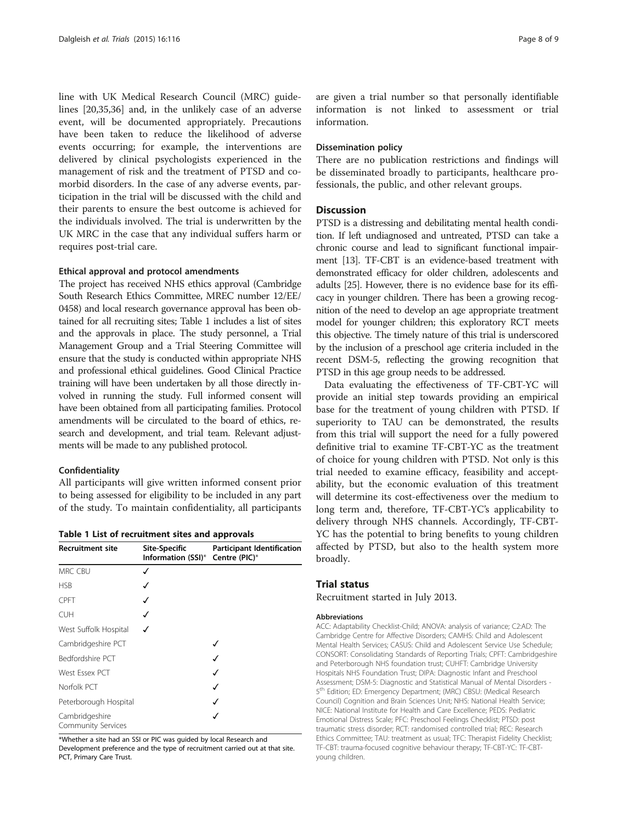line with UK Medical Research Council (MRC) guidelines [[20,35,36\]](#page-8-0) and, in the unlikely case of an adverse event, will be documented appropriately. Precautions have been taken to reduce the likelihood of adverse events occurring; for example, the interventions are delivered by clinical psychologists experienced in the management of risk and the treatment of PTSD and comorbid disorders. In the case of any adverse events, participation in the trial will be discussed with the child and their parents to ensure the best outcome is achieved for the individuals involved. The trial is underwritten by the UK MRC in the case that any individual suffers harm or requires post-trial care.

#### Ethical approval and protocol amendments

The project has received NHS ethics approval (Cambridge South Research Ethics Committee, MREC number 12/EE/ 0458) and local research governance approval has been obtained for all recruiting sites; Table 1 includes a list of sites and the approvals in place. The study personnel, a Trial Management Group and a Trial Steering Committee will ensure that the study is conducted within appropriate NHS and professional ethical guidelines. Good Clinical Practice training will have been undertaken by all those directly involved in running the study. Full informed consent will have been obtained from all participating families. Protocol amendments will be circulated to the board of ethics, research and development, and trial team. Relevant adjustments will be made to any published protocol.

#### Confidentiality

All participants will give written informed consent prior to being assessed for eligibility to be included in any part of the study. To maintain confidentiality, all participants

|  |  |  |  | Table 1 List of recruitment sites and approvals |  |  |  |
|--|--|--|--|-------------------------------------------------|--|--|--|
|--|--|--|--|-------------------------------------------------|--|--|--|

| <b>Recruitment site</b>                     | <b>Site-Specific</b><br>Information (SSI)* | <b>Participant Identification</b><br>Centre (PIC)* |  |  |
|---------------------------------------------|--------------------------------------------|----------------------------------------------------|--|--|
| <b>MRC CBU</b>                              | √                                          |                                                    |  |  |
| <b>HSB</b>                                  | ✓                                          |                                                    |  |  |
| <b>CPFT</b>                                 | √                                          |                                                    |  |  |
| <b>CUH</b>                                  |                                            |                                                    |  |  |
| West Suffolk Hospital                       |                                            |                                                    |  |  |
| Cambridgeshire PCT                          |                                            |                                                    |  |  |
| Bedfordshire PCT                            |                                            |                                                    |  |  |
| West Essex PCT                              |                                            | ✓                                                  |  |  |
| Norfolk PCT                                 |                                            | ✓                                                  |  |  |
| Peterborough Hospital                       |                                            |                                                    |  |  |
| Cambridgeshire<br><b>Community Services</b> |                                            |                                                    |  |  |

\*Whether a site had an SSI or PIC was guided by local Research and Development preference and the type of recruitment carried out at that site. PCT, Primary Care Trust.

are given a trial number so that personally identifiable information is not linked to assessment or trial information.

#### Dissemination policy

There are no publication restrictions and findings will be disseminated broadly to participants, healthcare professionals, the public, and other relevant groups.

#### Discussion

PTSD is a distressing and debilitating mental health condition. If left undiagnosed and untreated, PTSD can take a chronic course and lead to significant functional impairment [[13](#page-8-0)]. TF-CBT is an evidence-based treatment with demonstrated efficacy for older children, adolescents and adults [[25\]](#page-8-0). However, there is no evidence base for its efficacy in younger children. There has been a growing recognition of the need to develop an age appropriate treatment model for younger children; this exploratory RCT meets this objective. The timely nature of this trial is underscored by the inclusion of a preschool age criteria included in the recent DSM-5, reflecting the growing recognition that PTSD in this age group needs to be addressed.

Data evaluating the effectiveness of TF-CBT-YC will provide an initial step towards providing an empirical base for the treatment of young children with PTSD. If superiority to TAU can be demonstrated, the results from this trial will support the need for a fully powered definitive trial to examine TF-CBT-YC as the treatment of choice for young children with PTSD. Not only is this trial needed to examine efficacy, feasibility and acceptability, but the economic evaluation of this treatment will determine its cost-effectiveness over the medium to long term and, therefore, TF-CBT-YC's applicability to delivery through NHS channels. Accordingly, TF-CBT-YC has the potential to bring benefits to young children affected by PTSD, but also to the health system more broadly.

#### Trial status

Recruitment started in July 2013.

#### Abbreviations

ACC: Adaptability Checklist-Child; ANOVA: analysis of variance; C2:AD: The Cambridge Centre for Affective Disorders; CAMHS: Child and Adolescent Mental Health Services; CASUS: Child and Adolescent Service Use Schedule; CONSORT: Consolidating Standards of Reporting Trials; CPFT: Cambridgeshire and Peterborough NHS foundation trust; CUHFT: Cambridge University Hospitals NHS Foundation Trust; DIPA: Diagnostic Infant and Preschool Assessment; DSM-5: Diagnostic and Statistical Manual of Mental Disorders - 5th Edition; ED: Emergency Department; (MRC) CBSU: (Medical Research Council) Cognition and Brain Sciences Unit; NHS: National Health Service; NICE: National Institute for Health and Care Excellence; PEDS: Pediatric Emotional Distress Scale; PFC: Preschool Feelings Checklist; PTSD: post traumatic stress disorder; RCT: randomised controlled trial; REC: Research Ethics Committee; TAU: treatment as usual; TFC: Therapist Fidelity Checklist; TF-CBT: trauma-focused cognitive behaviour therapy; TF-CBT-YC: TF-CBTyoung children.